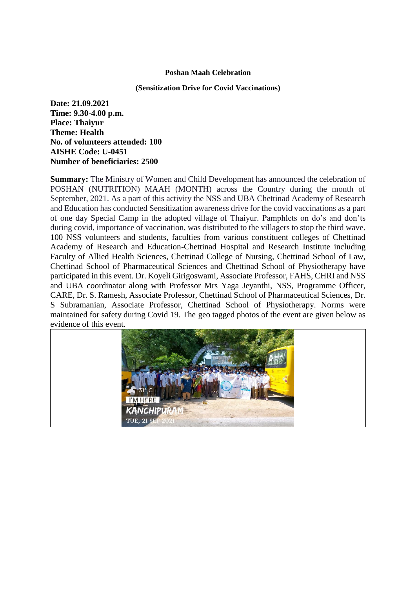## **Poshan Maah Celebration**

## **(Sensitization Drive for Covid Vaccinations)**

**Date: 21.09.2021 Time: 9.30-4.00 p.m. Place: Thaiyur Theme: Health No. of volunteers attended: 100 AISHE Code: U-0451 Number of beneficiaries: 2500**

**Summary:** The Ministry of Women and Child Development has announced the celebration of POSHAN (NUTRITION) MAAH (MONTH) across the Country during the month of September, 2021. As a part of this activity the NSS and UBA Chettinad Academy of Research and Education has conducted Sensitization awareness drive for the covid vaccinations as a part of one day Special Camp in the adopted village of Thaiyur. Pamphlets on do's and don'ts during covid, importance of vaccination, was distributed to the villagers to stop the third wave. 100 NSS volunteers and students, faculties from various constituent colleges of Chettinad Academy of Research and Education-Chettinad Hospital and Research Institute including Faculty of Allied Health Sciences, Chettinad College of Nursing, Chettinad School of Law, Chettinad School of Pharmaceutical Sciences and Chettinad School of Physiotherapy have participated in this event. Dr. Koyeli Girigoswami, Associate Professor, FAHS, CHRI and NSS and UBA coordinator along with Professor Mrs Yaga Jeyanthi, NSS, Programme Officer, CARE, Dr. S. Ramesh, Associate Professor, Chettinad School of Pharmaceutical Sciences, Dr. S Subramanian, Associate Professor, Chettinad School of Physiotherapy. Norms were maintained for safety during Covid 19. The geo tagged photos of the event are given below as evidence of this event.